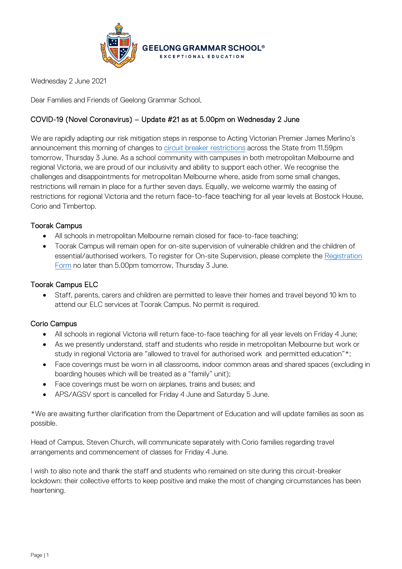

Wednesday 2 June 2021

Dear Families and Friends of Geelong Grammar School,

# COVID-19 (Novel Coronavirus) – Update #21 as at 5.00pm on Wednesday 2 June

We are rapidly adapting our risk mitigation steps in response to Acting Victorian Premier James Merlino's announcement this morning of changes to [circuit breaker restrictions](https://www.premier.vic.gov.au/sites/default/files/2021-06/210602%20-%20Table%20of%20Restrictions.pdf) across the State from 11.59pm tomorrow, Thursday 3 June. As a school community with campuses in both metropolitan Melbourne and regional Victoria, we are proud of our inclusivity and ability to support each other. We recognise the challenges and disappointments for metropolitan Melbourne where, aside from some small changes, restrictions will remain in place for a further seven days. Equally, we welcome warmly the easing of restrictions for regional Victoria and the return face-to-face teaching for all year levels at Bostock House, Corio and Timbertop.

# Toorak Campus

- All schools in metropolitan Melbourne remain closed for face-to-face teaching;
- Toorak Campus will remain open for on-site supervision of vulnerable children and the children of essential/authorised workers. To register for On-site Supervision, please complete the [Registration](https://www.ggs.vic.edu.au/school/our-school/leadership-and-governance/recent-statements/covid-19/supervision-of-remote-learning-ggs)  [Form](https://www.ggs.vic.edu.au/school/our-school/leadership-and-governance/recent-statements/covid-19/supervision-of-remote-learning-ggs) no later than 5.00pm tomorrow, Thursday 3 June.

# Toorak Campus ELC

• Staff, parents, carers and children are permitted to leave their homes and travel beyond 10 km to attend our ELC services at Toorak Campus. No permit is required.

# Corio Campus

- All schools in regional Victoria will return face-to-face teaching for all year levels on Friday 4 June;
- As we presently understand, staff and students who reside in metropolitan Melbourne but work or study in regional Victoria are "allowed to travel for authorised work and permitted education"\*;
- Face coverings must be worn in all classrooms, indoor common areas and shared spaces (excluding in boarding houses which will be treated as a "family" unit);
- Face coverings must be worn on airplanes, trains and buses; and
- APS/AGSV sport is cancelled for Friday 4 June and Saturday 5 June.

\*We are awaiting further clarification from the Department of Education and will update families as soon as possible.

Head of Campus, Steven Church, will communicate separately with Corio families regarding travel arrangements and commencement of classes for Friday 4 June.

I wish to also note and thank the staff and students who remained on site during this circuit-breaker lockdown: their collective efforts to keep positive and make the most of changing circumstances has been heartening.